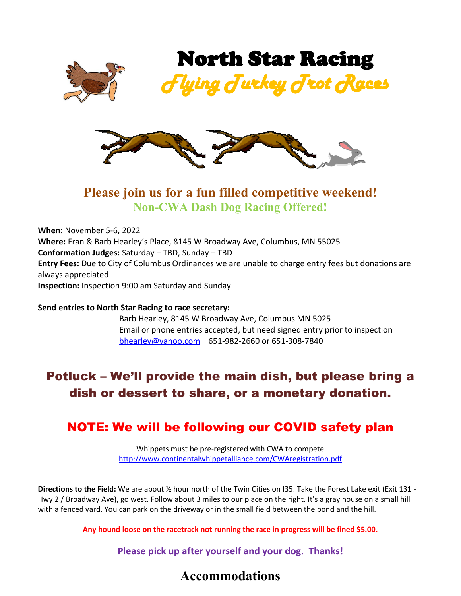



## **Please join us for a fun filled competitive weekend! Non-CWA Dash Dog Racing Offered!**

**When:** November 5-6, 2022 **Where:** Fran & Barb Hearley's Place, 8145 W Broadway Ave, Columbus, MN 55025 **Conformation Judges:** Saturday – TBD, Sunday – TBD **Entry Fees:** Due to City of Columbus Ordinances we are unable to charge entry fees but donations are always appreciated **Inspection:** Inspection 9:00 am Saturday and Sunday

#### **Send entries to North Star Racing to race secretary:**

Barb Hearley, 8145 W Broadway Ave, Columbus MN 5025 Email or phone entries accepted, but need signed entry prior to inspection [bhearley@yahoo.com](mailto:bhearley@yahoo.com) 651-982-2660 or 651-308-7840

# Potluck – We'll provide the main dish, but please bring a dish or dessert to share, or a monetary donation.

#### NOTE: We will be following our COVID safety plan

Whippets must be pre-registered with CWA to compete <http://www.continentalwhippetalliance.com/CWAregistration.pdf>

**Directions to the Field:** We are about ½ hour north of the Twin Cities on I35. Take the Forest Lake exit (Exit 131 - Hwy 2 / Broadway Ave), go west. Follow about 3 miles to our place on the right. It's a gray house on a small hill with a fenced yard. You can park on the driveway or in the small field between the pond and the hill.

**Any hound loose on the racetrack not running the race in progress will be fined \$5.00.**

**Please pick up after yourself and your dog. Thanks!**

#### **Accommodations**